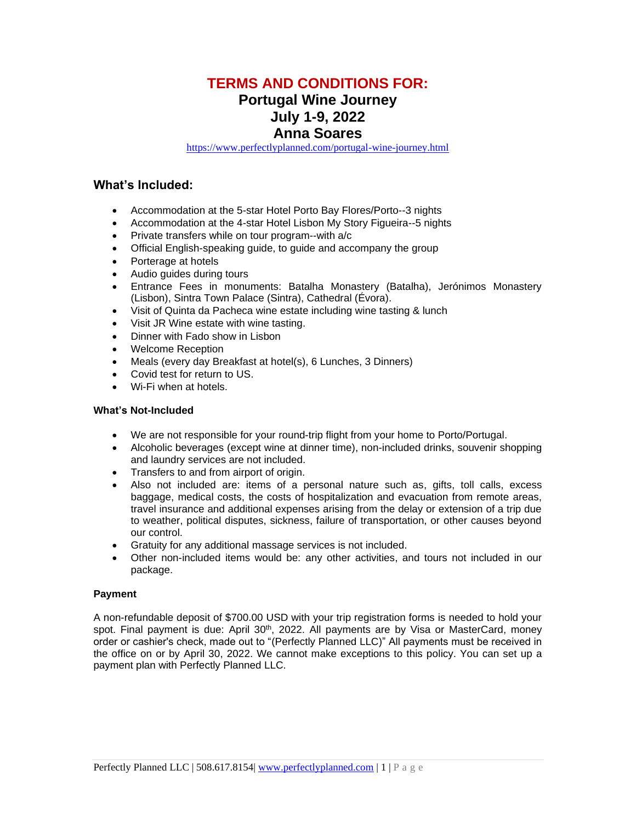# **TERMS AND CONDITIONS FOR:**

# **Portugal Wine Journey**

# **July 1-9, 2022**

## **Anna Soares**

<https://www.perfectlyplanned.com/portugal-wine-journey.html>

## **What's Included:**

- Accommodation at the 5-star Hotel Porto Bay Flores/Porto--3 nights
- Accommodation at the 4-star Hotel Lisbon My Story Figueira--5 nights
- Private transfers while on tour program--with a/c
- Official English-speaking guide, to guide and accompany the group
- Porterage at hotels
- Audio guides during tours
- Entrance Fees in monuments: Batalha Monastery (Batalha), Jerónimos Monastery (Lisbon), Sintra Town Palace (Sintra), Cathedral (Évora).
- Visit of Quinta da Pacheca wine estate including wine tasting & lunch
- Visit JR Wine estate with wine tasting.
- Dinner with Fado show in Lisbon
- Welcome Reception
- Meals (every day Breakfast at hotel(s), 6 Lunches, 3 Dinners)
- Covid test for return to US.
- Wi-Fi when at hotels.

### **What's Not-Included**

- We are not responsible for your round-trip flight from your home to Porto/Portugal.
- Alcoholic beverages (except wine at dinner time), non-included drinks, souvenir shopping and laundry services are not included.
- Transfers to and from airport of origin.
- Also not included are: items of a personal nature such as, gifts, toll calls, excess baggage, medical costs, the costs of hospitalization and evacuation from remote areas, travel insurance and additional expenses arising from the delay or extension of a trip due to weather, political disputes, sickness, failure of transportation, or other causes beyond our control.
- Gratuity for any additional massage services is not included.
- Other non-included items would be: any other activities, and tours not included in our package.

### **Payment**

A non-refundable deposit of \$700.00 USD with your trip registration forms is needed to hold your spot. Final payment is due: April 30<sup>th</sup>, 2022. All payments are by Visa or MasterCard, money order or cashier's check, made out to "(Perfectly Planned LLC)" All payments must be received in the office on or by April 30, 2022. We cannot make exceptions to this policy. You can set up a payment plan with Perfectly Planned LLC.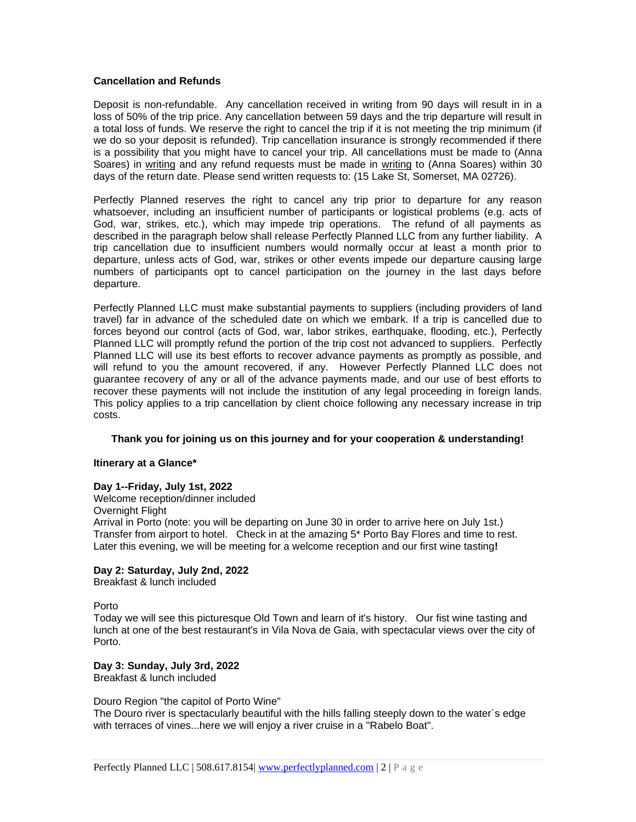#### **Cancellation and Refunds**

Deposit is non-refundable. Any cancellation received in writing from 90 days will result in in a loss of 50% of the trip price. Any cancellation between 59 days and the trip departure will result in a total loss of funds. We reserve the right to cancel the trip if it is not meeting the trip minimum (if we do so your deposit is refunded). Trip cancellation insurance is strongly recommended if there is a possibility that you might have to cancel your trip. All cancellations must be made to (Anna Soares) in writing and any refund requests must be made in writing to (Anna Soares) within 30 days of the return date. Please send written requests to: (15 Lake St, Somerset, MA 02726).

Perfectly Planned reserves the right to cancel any trip prior to departure for any reason whatsoever, including an insufficient number of participants or logistical problems (e.g. acts of God, war, strikes, etc.), which may impede trip operations. The refund of all payments as described in the paragraph below shall release Perfectly Planned LLC from any further liability. A trip cancellation due to insufficient numbers would normally occur at least a month prior to departure, unless acts of God, war, strikes or other events impede our departure causing large numbers of participants opt to cancel participation on the journey in the last days before departure.

Perfectly Planned LLC must make substantial payments to suppliers (including providers of land travel) far in advance of the scheduled date on which we embark. If a trip is cancelled due to forces beyond our control (acts of God, war, labor strikes, earthquake, flooding, etc.), Perfectly Planned LLC will promptly refund the portion of the trip cost not advanced to suppliers. Perfectly Planned LLC will use its best efforts to recover advance payments as promptly as possible, and will refund to you the amount recovered, if any. However Perfectly Planned LLC does not guarantee recovery of any or all of the advance payments made, and our use of best efforts to recover these payments will not include the institution of any legal proceeding in foreign lands. This policy applies to a trip cancellation by client choice following any necessary increase in trip costs.

#### **Thank you for joining us on this journey and for your cooperation & understanding!**

#### **Itinerary at a Glance\***

#### **Day 1--Friday, July 1st, 2022**

Welcome reception/dinner included Overnight Flight Arrival in Porto (note: you will be departing on June 30 in order to arrive here on July 1st.) Transfer from airport to hotel. Check in at the amazing 5\* Porto Bay Flores and time to rest. Later this evening, we will be meeting for a welcome reception and our first wine tasting**!**

#### **Day 2: Saturday, July 2nd, 2022**

Breakfast & lunch included

#### Porto

Today we will see this picturesque Old Town and learn of it's history. Our fist wine tasting and lunch at one of the best restaurant's in Vila Nova de Gaia, with spectacular views over the city of Porto.

#### **Day 3: Sunday, July 3rd, 2022**

Breakfast & lunch included

#### Douro Region "the capitol of Porto Wine"

The Douro river is spectacularly beautiful with the hills falling steeply down to the water´s edge with terraces of vines...here we will enjoy a river cruise in a "Rabelo Boat".